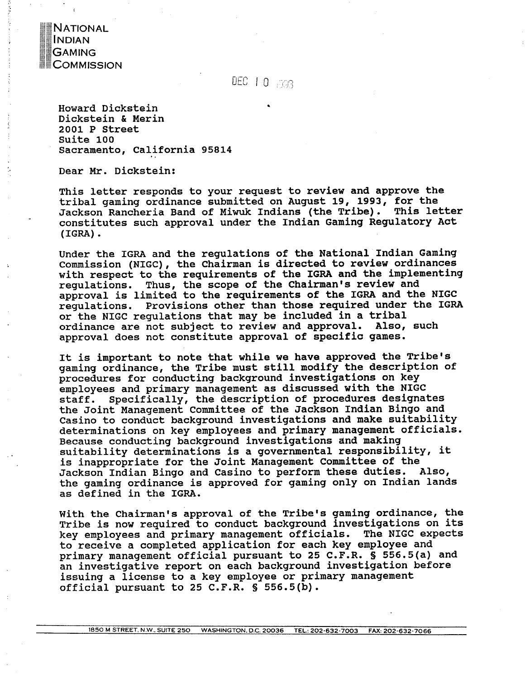

# DEC 10 BG3

**Howard Dickstein Dickstein** & **Merin 2001 P Street Suite 100**  Sacramento, California 95814

Dear Mr. Dickstein:

**This letter responds to your request to review and approve the tribal gaming ordinance submitted on August 19, 1993, for the Jackson Rancheria Band of Miwuk Indians (the Tribe). This letter constitutes such approval under the Indian Gaming Regulatory Act (IGRA)** .

**Under the IGRA and the regulations of the National Indian Gaming Commission (NIGC), the chairman is directed to review ordinances with respect to the requirements of the IGRA and the implementing regulations. Thus, the scope of the Chairman's review and approval is limited to the requirements of the IGRA and the NIGC regulations. Provisions other than those required under the IGRA or the NIGC regulations that may be included in a tribal**  ordinance are not subject to review and approval. **approval does not constitute approval of specific games.** 

**It is important to note that while we have approved the Tribe's gaming ordinance, the Tribe must still modify the description of procedures for conducting background investigations on key employees and primary management as discussed with the NIGC staff. Specifically, the description of procedures designates the Joint Management Committee of the Jackson Indian Bingo and Casino to conduct background investigations and make suitability determinations on key employees and primary management officials. Because conducting background investigations and making suitability determinations is a governmental responsibility, it**  is inappropriate for the Joint Management Committee of the **Jackson Indian Bingo and Casino to perform these duties. Also, the gaming ordinance is approved for gaming only on Indian lands as defined in the IGRA.** 

**With the Chairman's approval of the Tribe's gaming ordinance, the Tribe is now required to conduct background investigations on its key employees and primary management officials. The NIGC expects to receive a completed application for each key employee and primary management official pursuant to 25 C.F.R. S 556.5(a) and an investigative report on each background investigation before issuing a license to a key employee or primary management official pursuant to 25 C.F.R.** § **556.5(b).**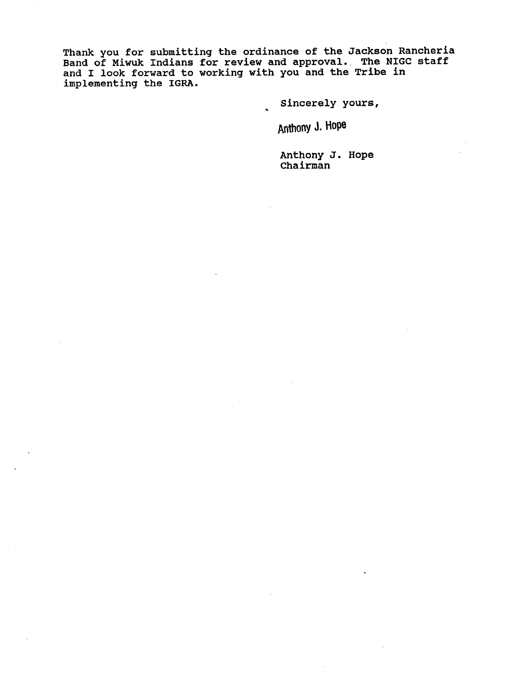**Thank you for submitting the ordinance of the Jackson Rancheria**  Band of Miwuk Indians for review and approval. The NIGC staff **and I look forward to working with you and the Tribe in implementing the IGRA.** 

**Sincerely yours,** 

**Anthony J. Hope** 

**Anthony J. Hope Chairman**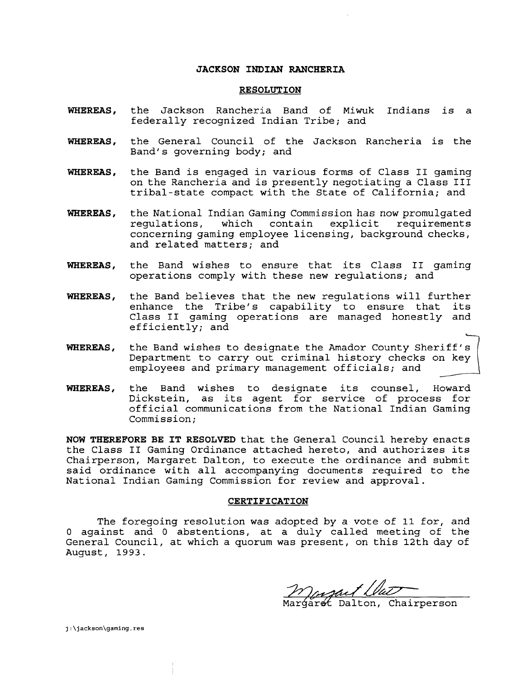# **JACKSON INDIAN RANCHERIA**

#### **RESOLUTION**

- **WHEREAS,** the Jackson Rancheria Band of Miwuk Indians is a federally recognized Indian Tribe; and
- **WHEREAS,** the General Council of the Jackson Rancheria is the Band's governing body; and
- **WHEREAS,** the Band is engaged in various forms of Class I1 gaming on the Rancheria and is presently negotiating a Class I11 tribal-state compact with the State of California; and
- **WHEREAS,** the National Indian Gaming Commission has now promulgated regulations, which contain concerning gaming employee licensing, background checks, and related matters; and
- **WHEREAS,** the Band wishes to ensure that its Class I1 gaming operations comply with these new regulations; and
- **WHEREAS,** the Band believes that the new regulations will further enhance the Tribe's capability to ensure that its Class **I1** gaming operations are managed honestly and efficiently; and
- **WHEREAS,** the Band wishes to designate the Amador County Sheriff's Department to carry out criminal history checks on key employees and primary management officials; and
- **WHEREAS,** the Band wishes to designate its counsel, Howard Dickstein, as its agent for service of process for official communications from the National Indian Gaming Commission;

**NOW THEREFORE BE IT RESOLVED** that the General Council hereby enacts the Class I1 Gaming Ordinance attached hereto, and authorizes its Chairperson, Margaret Dalton, to execute the ordinance and submit said ordinance with all accompanying documents required to the National Indian Gaming Commission for review and approval.

## **CERTIFICATION**

The foregoing resolution was adopted by a vote of 11 for, and 0 against and 0 abstentions, at a duly called meeting of the General Council, at which a quorum was present, on this 12th day of August, 1993.

<u>Manguet (la<del>l</del></u><br>Margaret Dalton, Chairperson

j:\jackson\gaming.res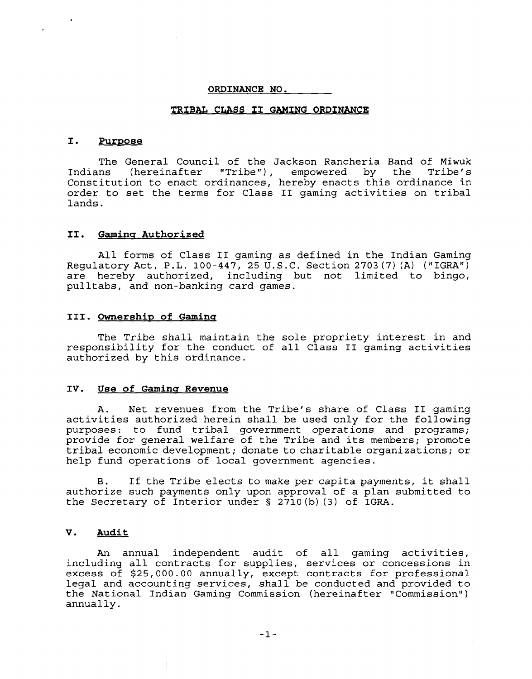#### **ORDINANCE NO.**

#### **TRIBAL CLASS I1 GAMING ORDINANCE**

#### **I. Purpose**

The General Council of the Jackson Rancheria Band of Miwuk<br>ns (bereinafter "Tribe"), empowered by the Tribe's Indians (hereinafter "Tribe"), empowered by the Constitution to enact ordinances, hereby enacts this ordinance in order to set the terms for Class I1 gaming activities on tribal lands.

# **11.** Gaming Authorized

All forms of Class I1 gaming as defined in the Indian Gaming Regulatory Act, P.L. 100-447, 25 U.S.C. Section 2703 (7) (A) ("IGRA") are hereby authorized, including but not limited to bingo, pulltabs, and non-banking card games.

# **111. owners hi^ of Gaminq**

The Tribe shall maintain the sole propriety interest in and responsibility for the conduct of all Class **I1** gaming activities authorized by this ordinance.

#### IV. Use of Gaming Revenue

A. Net revenues from the Tribe's share of Class I1 gaming activities authorized herein shall be used only for the following purposes: to fund tribal government operations and programs; provide for general welfare of the Tribe and its members; promote tribal economic development; donate to charitable organizations; or help fund operations of local government agencies.

**B.** If the Tribe elects to make per capita payments, it shall authorize such payments only upon approval of a plan submitted to the Secretary of Interior under § 2710(b) (3) of IGRA.

# **V. Audit**

An annual independent audit of all gaming activities, including all contracts for supplies, services or concessions in excess of \$25,000.00 annually, except contracts for professional legal and accounting services, shall be conducted and provided to the National Indian Gaming Commission (hereinafter "Commission" ) annually .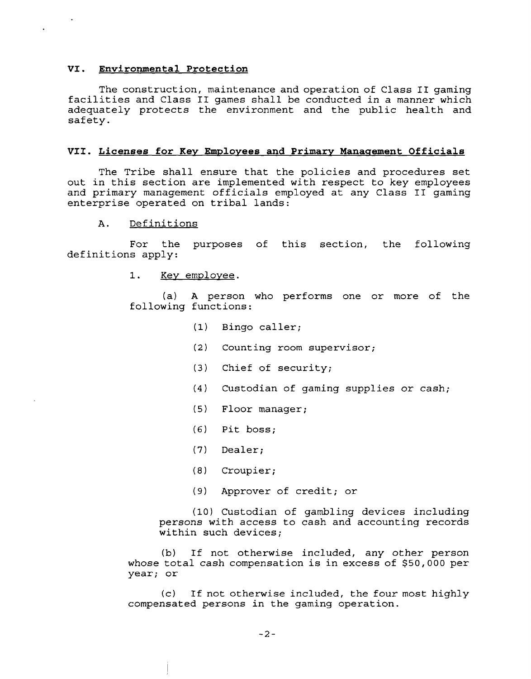# **VI. Environmental Protection**

The construction, maintenance and operation of Class I1 gaming facilities and Class I1 games shall be conducted in a manner which adequately protects the environment and the public health and safety.

## VII. Licenses for Key Employees and Primary Management Officials

The Tribe shall ensure that the policies and procedures set out in this section are implemented with respect to key employees and primary management officials employed at any Class I1 gaming enterprise operated on tribal lands:

# A. Definitions

For the purposes of this section, the following definitions apply:

> $1.$ Key employee.

(a) A person who performs one or more of the following functions:

- (1) Bingo caller;
- **(2)** Counting room supervisor;
- **(3)** Chief of security;
- (4) Custodian of gaming supplies or cash;
- (5) Floor manager;
- *(6)* Pit boss;
- **(7)** Dealer;
- **(8)** Croupier;
- (9) Approver of credit; or

(10) Custodian of gambling devices including persons with access to cash and accounting records within such devices;

(b) If not otherwise included, any other person whose total cash compensation is in excess of \$50,000 per year; or

(c) If not otherwise included, the four most highly compensated persons in the gaming operation.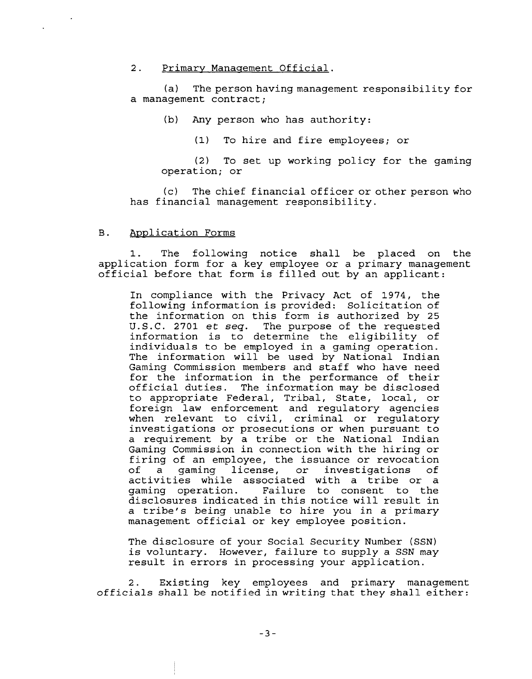#### 2. Primary Management Official.

(a) The person having management responsibility for a management contract;

(b) Any person who has authority:

(1) To hire and fire employees; or

(2) To set up working policy for the gaming operation; or

(c) The chief financial officer or other person who has financial management responsibility.

## B. Application Forms

The following notice shall be placed on the application form for a key employee or a primary management official before that form is filled out by an applicant:

In compliance with the Privacy Act of 1974, the following information is provided: Solicitation of the information on this form is authorized by 25 U.S.C. 2701 et seq. The purpose of the requested information is to determine the eligibility of individuals to be employed in a gaming operation. The information will be used by National Indian Gaming Commission members and staff who have need for the information in the performance of their official duties. The information may be disclosed to appropriate Federal, Tribal, State, local, or foreign law enforcement and regulatory agencies when relevant to civil, criminal or regulatory investigations or prosecutions or when pursuant to a requirement by a tribe or the National Indian Gaming Commission in connection with the hiring or firing of an employee, the issuance or revocation of a gaming license, or investigations of activities while associated with a tribe or a<br>gaming operation. Failure to consent to the Failure to consent to the disclosures indicated in this notice will result in a tribe's being unable to hire you in a primary management official or key employee position.

The disclosure of your Social Security Number (SSN) is voluntary. However, failure to supply a SSN may result in errors in processing your application.

2. Existing key employees and primary management officials shall be notified in writing that they shall either: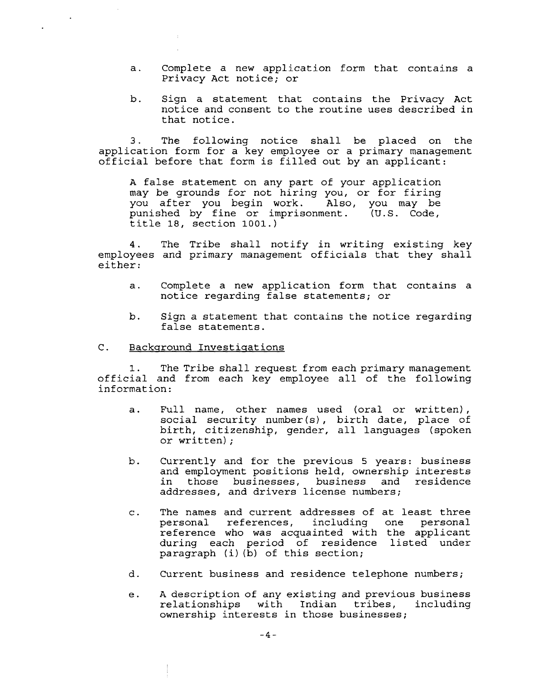- a. Complete a new application form that contains a Privacy Act notice; or
- b. Sign a statement that contains the Privacy Act notice and consent to the routine uses described in that notice.

3. The following notice shall be placed on the application form for a key employee or a primary management official before that form is filled out by an applicant:

A false statement on any part of your application may be grounds for not hiring you, or for firing you after you begin work. Also, you may be punished by fine or imprisonment. (U.S. Code, title 18, section 1001.)

4. The Tribe shall notify in writing existing key employees and primary management officials that they shall either:

- a. Complete a new application form that contains a notice regarding false statements; or
- b. Sign a statement that contains the notice regarding false statements.

### C. Background Investigations

1. The Tribe shall request from each primary management official and from each key employee all of the following information:

- a. Full name, other names used (oral or written), social security number(s), birth date, place of birth, citizenship, gender, all languages (spoken or written) ;
- b. Currently and for the previous 5 years: business and employment positions held, ownership interests<br>in those businesses, business and residence those businesses, business and residence addresses, and drivers license numbers;
- c. The names and current addresses of at least three personal references, including one reference who was acquainted with the applicant during each period of residence listed under paragraph (i) (b) of this section;
- d. Current business and residence telephone numbers;
- e. A description of any existing and previous business<br>relationships with Indian tribes, including with Indian tribes, including ownership interests in those businesses;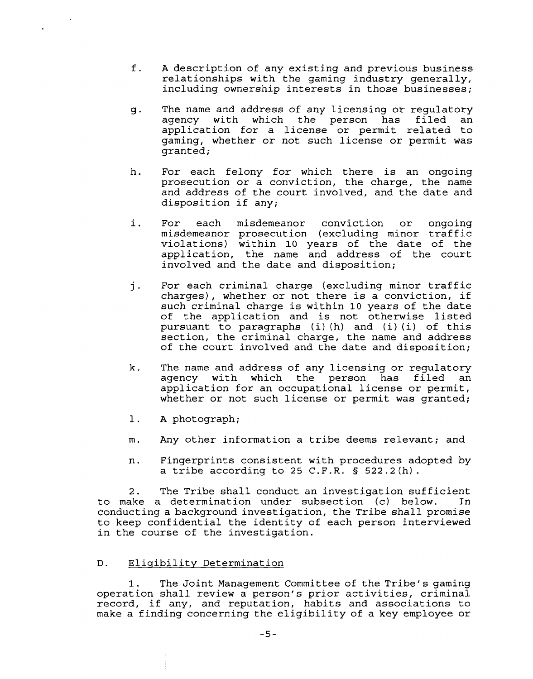- f. A description of any existing and previous business relationships with the gaming industry generally, including ownership interests in those businesses;
- g. The name and address of any licensing or regulatory agency with which the person has filed application for a license or permit related to gaming, whether or not such license or permit was granted;
- h. For each felony for which there is an ongoing prosecution or a conviction, the charge, the name and address of the court involved, and the date and disposition if any;
- i. For each misdemeanor conviction or ongoing misdemeanor prosecution (excluding minor traffic violations) within 10 years of the date of the application, the name and address of the court involved and the date and disposition;
- j. For each criminal charge (excluding minor traffic charges), whether or not there is a conviction, if such criminal charge is within 10 years of the date of the application and is not otherwise listed pursuant to paragraphs (i) (h) and (i) (i) of this section, the criminal charge, the name and address of the court involved and the date and disposition;
- k. The name and address of any licensing or regulatory agency with which the person has filed an application for an occupational license or permit, whether or not such license or permit was granted;
- 1. A photograph;
- m. Any other information a tribe deems relevant; and
- n. Fingerprints consistent with procedures adopted by a tribe according to 25 C.F.R. § 522.2(h).

2. The Tribe shall conduct an investigation sufficient to make a determination under subsection (c) below. In conducting a background investigation, the Tribe shall promise to keep confidential the identity of each person interviewed in the course of the investigation.

# D. Eligibility Determination

1. The Joint Management Committee of the Tribe's gaming operation shall review a person's prior activities, criminal record, if any, and reputation, habits and associations to make a finding concerning the eligibility of a key employee or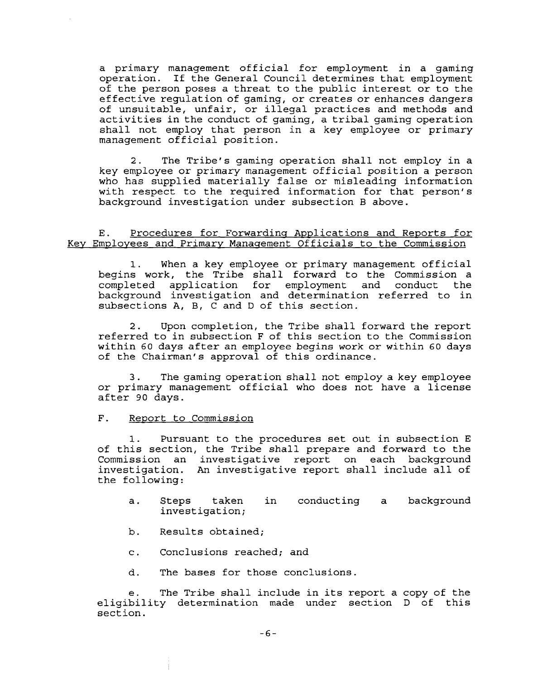a primary management official for employment in a gaming operation. If the General Council determines that employment of the person poses a threat to the public interest or to the effective regulation of gaming, or creates or enhances dangers of unsuitable, unfair, or illegal practices and methods and activities in the conduct of gaming, a tribal gaming operation shall not employ that person in a key employee or primary management official position.

2. The Tribe's gaming operation shall not employ in a key employee or primary management official position a person who has supplied materially false or misleading information with respect to the required information for that person's background investigation under subsection B above.

# E. Procedures for Forwarding Applications and Reports for Key Employees and Primary Management Officials to the Commission

1. When a key employee or primary management official begins work, the Tribe shall forward to the Commission a completed application for employment and conduct the background investigation and determination referred to in subsections A, B, C and D of this section.

2. Upon completion, the Tribe shall forward the report referred to in subsection **F** of this section to the Commission within 60 days after an employee begins work or within 60 days of the Chairman's approval of this ordinance.

**3.** The gaming operation shall not employ a key employee or primary management official who does not have a license after 90 days.

## F. Report to Commission

1. Pursuant to the procedures set out in subsection E of this section, the Tribe shall prepare and forward to the Commission an investigative report on each background investigation. An investigative report shall include all of the following:

- a. Steps taken in conducting a background investigation;
- b. Results obtained;
- c. Conclusions reached; and
- d. The bases for those conclusions.

e. The Tribe shall include in its report a copy of the eligibility determination made under section D of this section.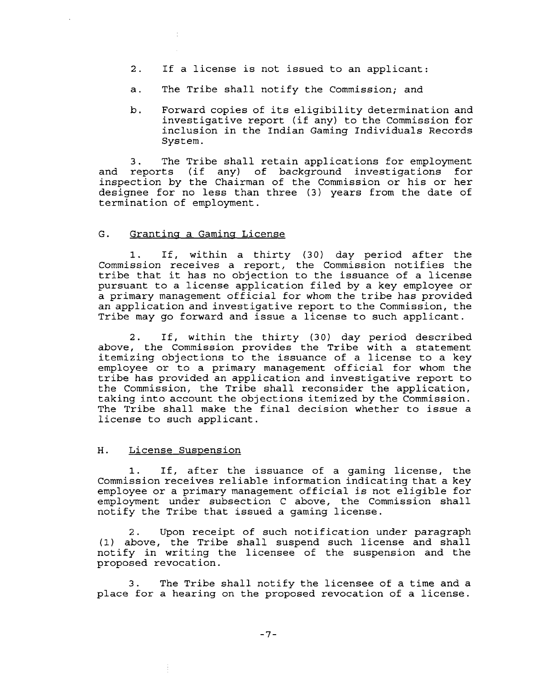- 2. If a license is not issued to an applicant:
- a. The Tribe shall notify the Commission; and
- b. Forward copies of its eligibility determination and investigative report (if any) to the Commission for inclusion in the Indian Gaming Individuals Records System.

3. The Tribe shall retain applications for employment and reports (if any) of background investigations for inspection by the Chairman of the Commission or his or her designee for no less than three (3) years from the date of termination of employment.

## G. Granting a Gaming License

1. If, within a thirty (30) day period after the Commission receives a report, the Commission notifies the tribe that it has no objection to the issuance of a license pursuant to a license application filed by a key employee or a primary management official for whom the tribe has provided an application and investigative report to the Commission, the Tribe may go forward and issue a license to such applicant.

2. If, within the thirty (30) day period described above, the **Commission** provides the Tribe with a statement itemizing objections to the issuance of a license to a key employee or to a primary management official for whom the tribe has provided an application and investigative report to the Commission, the Tribe shall reconsider the application, taking into account the objections itemized by the Commission. The Tribe shall make the final decision whether to issue a license to such applicant.

#### H. License Suspension

1. If, after the issuance of a gaming license, the Commission receives reliable information indicating that a key employee or a primary management official is not eligible for employment under subsection C above, the Commission shall notify the Tribe that issued a gaming license.

2. Upon receipt of such notification under paragraph (1) above, the Tribe shall suspend such license and shall notify in writing the licensee of the suspension and the proposed revocation.

3. The Tribe shall notify the licensee of a time and a place for a hearing on the proposed revocation of a license.